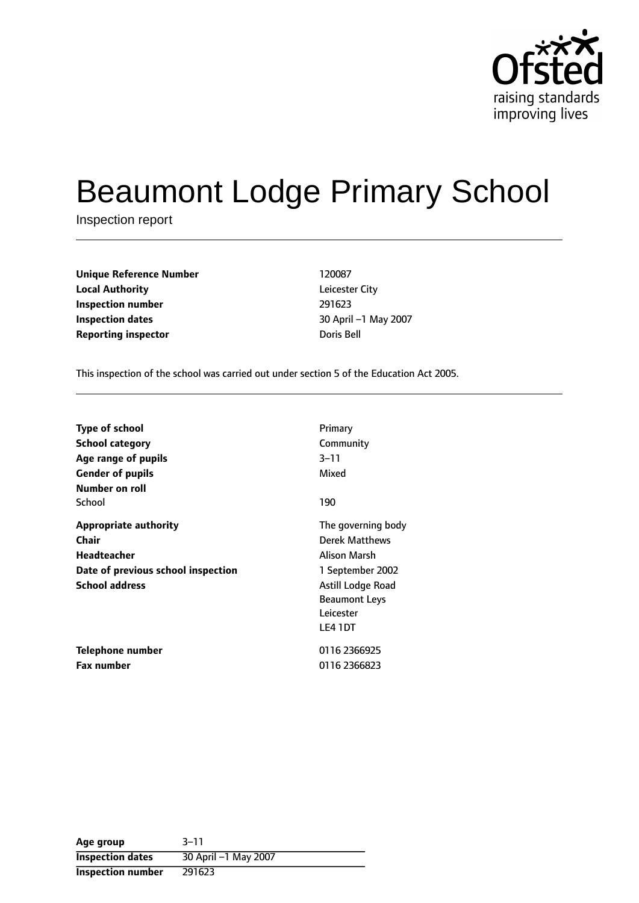

# Beaumont Lodge Primary School

Inspection report

| <b>Unique Reference Number</b> | 120087      |
|--------------------------------|-------------|
| <b>Local Authority</b>         | Leicester ( |
| Inspection number              | 291623      |
| Inspection dates               | 30 April –  |
| <b>Reporting inspector</b>     | Doris Bell  |

**Leicester City Inspection number** 291623 **Inspection dates** 30 April 1 May 2007

This inspection of the school was carried out under section 5 of the Education Act 2005.

| <b>Type of school</b><br><b>School category</b><br>Age range of pupils<br><b>Gender of pupils</b>                   | Primary<br>Community<br>$3 - 11$<br>Mixed                                                                                          |
|---------------------------------------------------------------------------------------------------------------------|------------------------------------------------------------------------------------------------------------------------------------|
| Number on roll<br>School                                                                                            | 190                                                                                                                                |
| <b>Appropriate authority</b><br>Chair<br>Headteacher<br>Date of previous school inspection<br><b>School address</b> | The governing body<br>Derek Matthews<br>Alison Marsh<br>1 September 2002<br>Astill Lodge Road<br><b>Beaumont Leys</b><br>Leicester |
| Telephone number<br><b>Fax number</b>                                                                               | LE4 1DT<br>0116 2366925<br>0116 2366823                                                                                            |

**Age** group 3-11 **Inspection dates** 30 April -1 May 2007 **Inspection number** 291623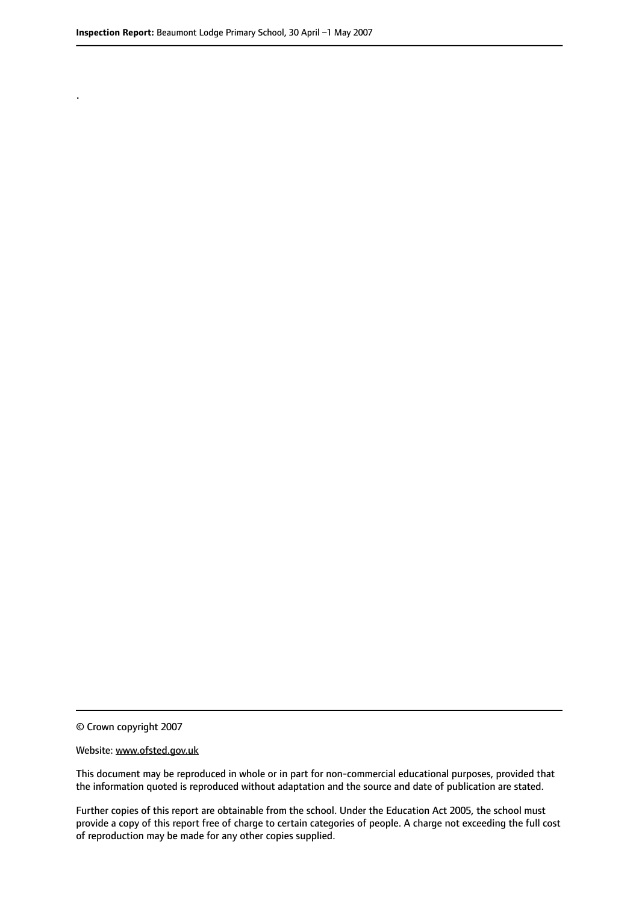.

© Crown copyright 2007

#### Website: www.ofsted.gov.uk

This document may be reproduced in whole or in part for non-commercial educational purposes, provided that the information quoted is reproduced without adaptation and the source and date of publication are stated.

Further copies of this report are obtainable from the school. Under the Education Act 2005, the school must provide a copy of this report free of charge to certain categories of people. A charge not exceeding the full cost of reproduction may be made for any other copies supplied.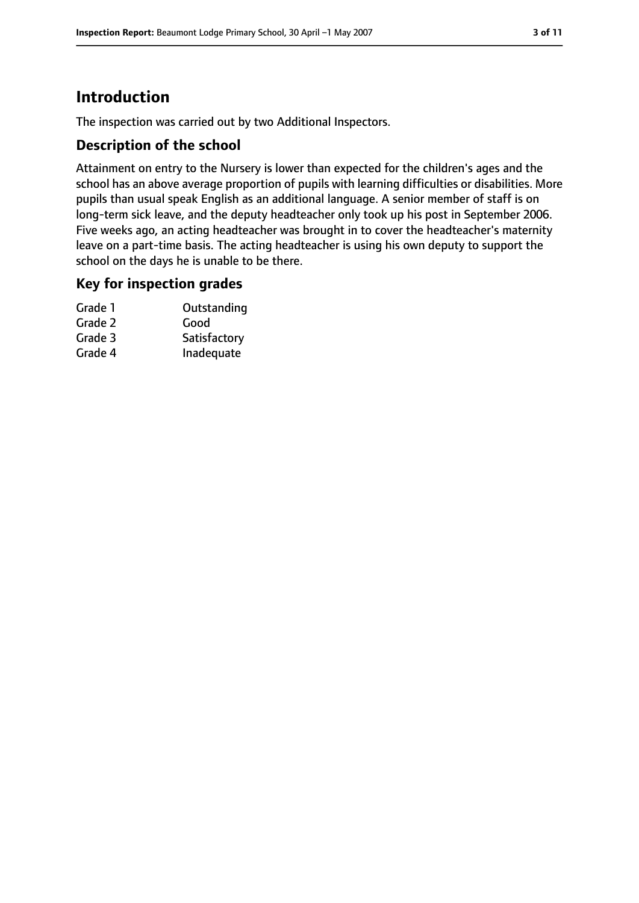# **Introduction**

The inspection was carried out by two Additional Inspectors.

## **Description of the school**

Attainment on entry to the Nursery is lower than expected for the children's ages and the school has an above average proportion of pupils with learning difficulties or disabilities. More pupils than usual speak English as an additional language. A senior member of staff is on long-term sick leave, and the deputy headteacher only took up his post in September 2006. Five weeks ago, an acting headteacher was brought in to cover the headteacher's maternity leave on a part-time basis. The acting headteacher is using his own deputy to support the school on the days he is unable to be there.

## **Key for inspection grades**

| Grade 1 | Outstanding  |
|---------|--------------|
| Grade 2 | Good         |
| Grade 3 | Satisfactory |
| Grade 4 | Inadequate   |
|         |              |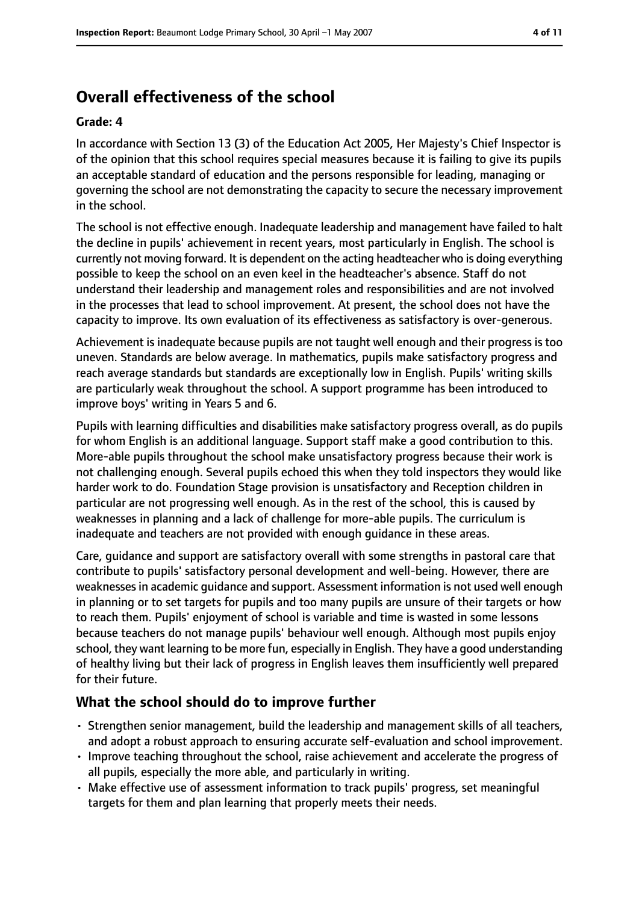# **Overall effectiveness of the school**

#### **Grade: 4**

In accordance with Section 13 (3) of the Education Act 2005, Her Majesty's Chief Inspector is of the opinion that this school requires special measures because it is failing to give its pupils an acceptable standard of education and the persons responsible for leading, managing or governing the school are not demonstrating the capacity to secure the necessary improvement in the school.

The school is not effective enough. Inadequate leadership and management have failed to halt the decline in pupils' achievement in recent years, most particularly in English. The school is currently not moving forward. It is dependent on the acting headteacher who is doing everything possible to keep the school on an even keel in the headteacher's absence. Staff do not understand their leadership and management roles and responsibilities and are not involved in the processes that lead to school improvement. At present, the school does not have the capacity to improve. Its own evaluation of its effectiveness as satisfactory is over-generous.

Achievement is inadequate because pupils are not taught well enough and their progress is too uneven. Standards are below average. In mathematics, pupils make satisfactory progress and reach average standards but standards are exceptionally low in English. Pupils' writing skills are particularly weak throughout the school. A support programme has been introduced to improve boys' writing in Years 5 and 6.

Pupils with learning difficulties and disabilities make satisfactory progress overall, as do pupils for whom English is an additional language. Support staff make a good contribution to this. More-able pupils throughout the school make unsatisfactory progress because their work is not challenging enough. Several pupils echoed this when they told inspectors they would like harder work to do. Foundation Stage provision is unsatisfactory and Reception children in particular are not progressing well enough. As in the rest of the school, this is caused by weaknesses in planning and a lack of challenge for more-able pupils. The curriculum is inadequate and teachers are not provided with enough guidance in these areas.

Care, guidance and support are satisfactory overall with some strengths in pastoral care that contribute to pupils' satisfactory personal development and well-being. However, there are weaknessesin academic guidance and support. Assessment information is not used well enough in planning or to set targets for pupils and too many pupils are unsure of their targets or how to reach them. Pupils' enjoyment of school is variable and time is wasted in some lessons because teachers do not manage pupils' behaviour well enough. Although most pupils enjoy school, they want learning to be more fun, especially in English. They have a good understanding of healthy living but their lack of progress in English leaves them insufficiently well prepared for their future.

## **What the school should do to improve further**

- Strengthen senior management, build the leadership and management skills of all teachers, and adopt a robust approach to ensuring accurate self-evaluation and school improvement.
- Improve teaching throughout the school, raise achievement and accelerate the progress of all pupils, especially the more able, and particularly in writing.
- Make effective use of assessment information to track pupils' progress, set meaningful targets for them and plan learning that properly meets their needs.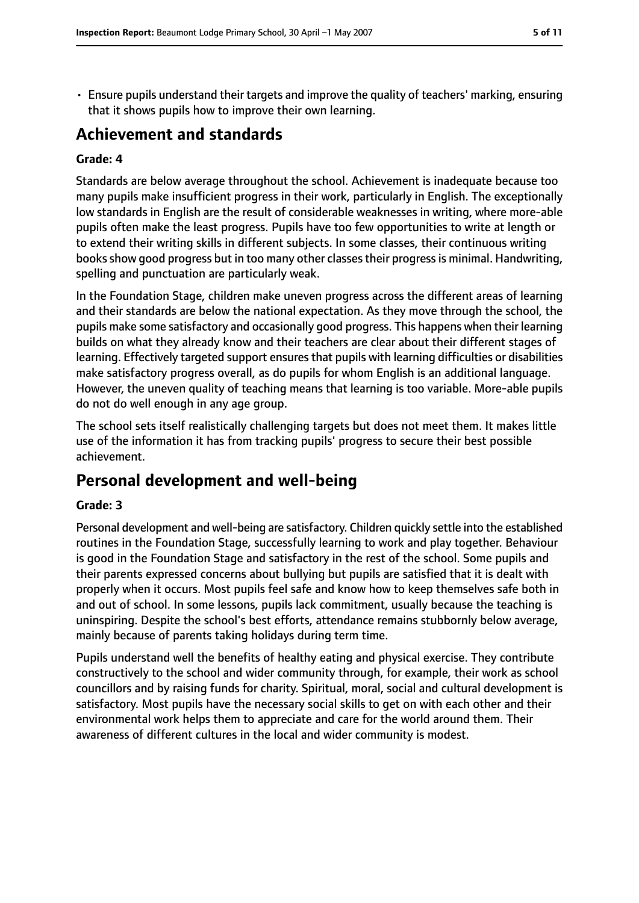• Ensure pupils understand their targets and improve the quality of teachers' marking, ensuring that it shows pupils how to improve their own learning.

# **Achievement and standards**

#### **Grade: 4**

Standards are below average throughout the school. Achievement is inadequate because too many pupils make insufficient progress in their work, particularly in English. The exceptionally low standards in English are the result of considerable weaknesses in writing, where more-able pupils often make the least progress. Pupils have too few opportunities to write at length or to extend their writing skills in different subjects. In some classes, their continuous writing books show good progress but in too many other classes their progress is minimal. Handwriting, spelling and punctuation are particularly weak.

In the Foundation Stage, children make uneven progress across the different areas of learning and their standards are below the national expectation. As they move through the school, the pupils make some satisfactory and occasionally good progress. This happens when their learning builds on what they already know and their teachers are clear about their different stages of learning. Effectively targeted support ensures that pupils with learning difficulties or disabilities make satisfactory progress overall, as do pupils for whom English is an additional language. However, the uneven quality of teaching means that learning is too variable. More-able pupils do not do well enough in any age group.

The school sets itself realistically challenging targets but does not meet them. It makes little use of the information it has from tracking pupils' progress to secure their best possible achievement.

# **Personal development and well-being**

#### **Grade: 3**

Personal development and well-being are satisfactory. Children quickly settle into the established routines in the Foundation Stage, successfully learning to work and play together. Behaviour is good in the Foundation Stage and satisfactory in the rest of the school. Some pupils and their parents expressed concerns about bullying but pupils are satisfied that it is dealt with properly when it occurs. Most pupils feel safe and know how to keep themselves safe both in and out of school. In some lessons, pupils lack commitment, usually because the teaching is uninspiring. Despite the school's best efforts, attendance remains stubbornly below average, mainly because of parents taking holidays during term time.

Pupils understand well the benefits of healthy eating and physical exercise. They contribute constructively to the school and wider community through, for example, their work as school councillors and by raising funds for charity. Spiritual, moral, social and cultural development is satisfactory. Most pupils have the necessary social skills to get on with each other and their environmental work helps them to appreciate and care for the world around them. Their awareness of different cultures in the local and wider community is modest.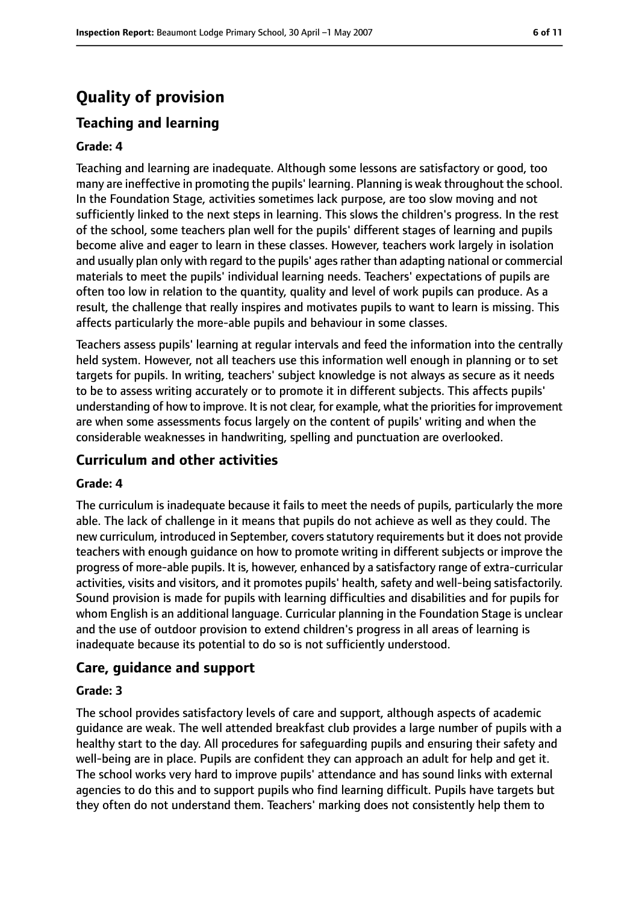# **Quality of provision**

# **Teaching and learning**

#### **Grade: 4**

Teaching and learning are inadequate. Although some lessons are satisfactory or good, too many are ineffective in promoting the pupils' learning. Planning is weak throughout the school. In the Foundation Stage, activities sometimes lack purpose, are too slow moving and not sufficiently linked to the next steps in learning. This slows the children's progress. In the rest of the school, some teachers plan well for the pupils' different stages of learning and pupils become alive and eager to learn in these classes. However, teachers work largely in isolation and usually plan only with regard to the pupils' ages rather than adapting national or commercial materials to meet the pupils' individual learning needs. Teachers' expectations of pupils are often too low in relation to the quantity, quality and level of work pupils can produce. As a result, the challenge that really inspires and motivates pupils to want to learn is missing. This affects particularly the more-able pupils and behaviour in some classes.

Teachers assess pupils' learning at regular intervals and feed the information into the centrally held system. However, not all teachers use this information well enough in planning or to set targets for pupils. In writing, teachers' subject knowledge is not always as secure as it needs to be to assess writing accurately or to promote it in different subjects. This affects pupils' understanding of how to improve. It is not clear, for example, what the prioritiesfor improvement are when some assessments focus largely on the content of pupils' writing and when the considerable weaknesses in handwriting, spelling and punctuation are overlooked.

## **Curriculum and other activities**

#### **Grade: 4**

The curriculum is inadequate because it fails to meet the needs of pupils, particularly the more able. The lack of challenge in it means that pupils do not achieve as well as they could. The new curriculum, introduced in September, covers statutory requirements but it does not provide teachers with enough guidance on how to promote writing in different subjects or improve the progress of more-able pupils. It is, however, enhanced by a satisfactory range of extra-curricular activities, visits and visitors, and it promotes pupils' health, safety and well-being satisfactorily. Sound provision is made for pupils with learning difficulties and disabilities and for pupils for whom English is an additional language. Curricular planning in the Foundation Stage is unclear and the use of outdoor provision to extend children's progress in all areas of learning is inadequate because its potential to do so is not sufficiently understood.

## **Care, guidance and support**

#### **Grade: 3**

The school provides satisfactory levels of care and support, although aspects of academic guidance are weak. The well attended breakfast club provides a large number of pupils with a healthy start to the day. All procedures for safeguarding pupils and ensuring their safety and well-being are in place. Pupils are confident they can approach an adult for help and get it. The school works very hard to improve pupils' attendance and has sound links with external agencies to do this and to support pupils who find learning difficult. Pupils have targets but they often do not understand them. Teachers' marking does not consistently help them to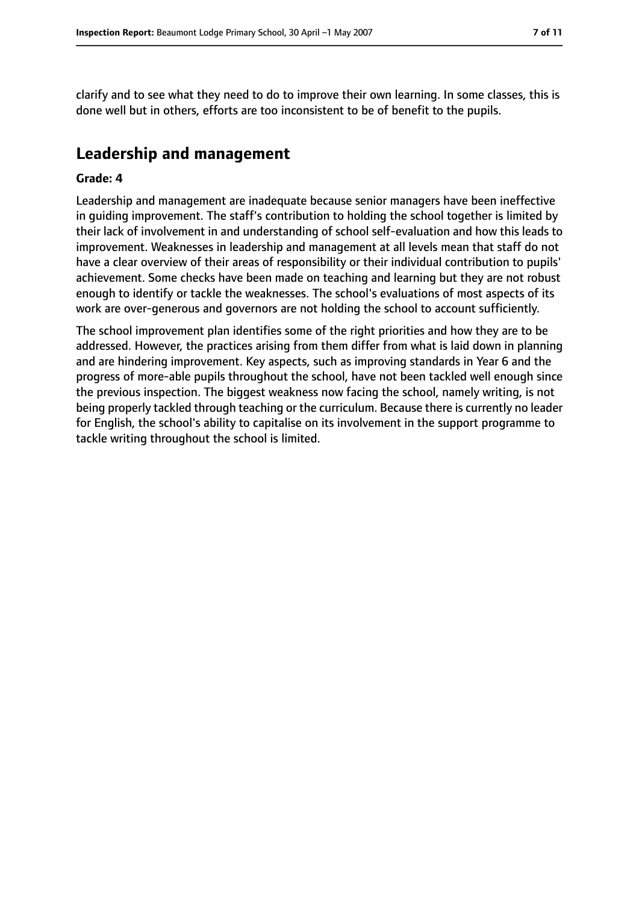clarify and to see what they need to do to improve their own learning. In some classes, this is done well but in others, efforts are too inconsistent to be of benefit to the pupils.

# **Leadership and management**

#### **Grade: 4**

Leadership and management are inadequate because senior managers have been ineffective in guiding improvement. The staff's contribution to holding the school together is limited by their lack of involvement in and understanding of school self-evaluation and how this leads to improvement. Weaknesses in leadership and management at all levels mean that staff do not have a clear overview of their areas of responsibility or their individual contribution to pupils' achievement. Some checks have been made on teaching and learning but they are not robust enough to identify or tackle the weaknesses. The school's evaluations of most aspects of its work are over-generous and governors are not holding the school to account sufficiently.

The school improvement plan identifies some of the right priorities and how they are to be addressed. However, the practices arising from them differ from what is laid down in planning and are hindering improvement. Key aspects, such as improving standards in Year 6 and the progress of more-able pupils throughout the school, have not been tackled well enough since the previous inspection. The biggest weakness now facing the school, namely writing, is not being properly tackled through teaching or the curriculum. Because there is currently no leader for English, the school's ability to capitalise on its involvement in the support programme to tackle writing throughout the school is limited.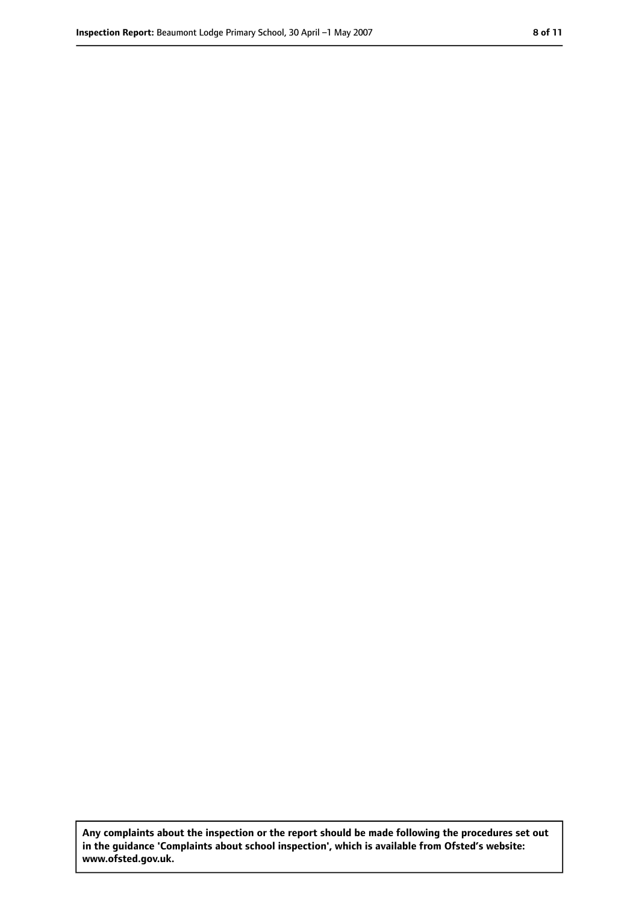**Any complaints about the inspection or the report should be made following the procedures set out in the guidance 'Complaints about school inspection', which is available from Ofsted's website: www.ofsted.gov.uk.**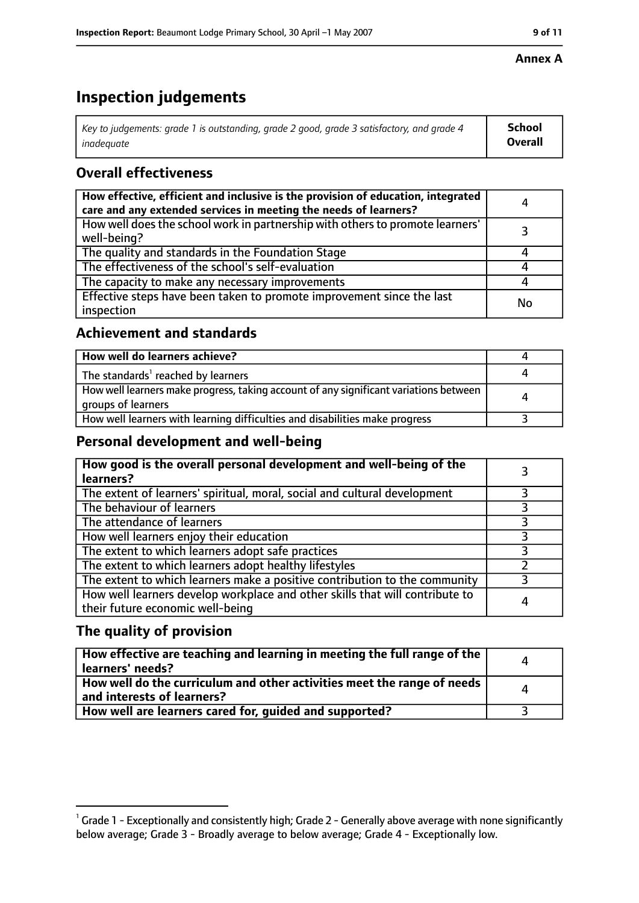#### **Annex A**

# **Inspection judgements**

| Key to judgements: grade 1 is outstanding, grade 2 good, grade 3 satisfactory, and grade 4 | School         |
|--------------------------------------------------------------------------------------------|----------------|
| inadeauate                                                                                 | <b>Overall</b> |

## **Overall effectiveness**

| How effective, efficient and inclusive is the provision of education, integrated<br>care and any extended services in meeting the needs of learners? | 4  |
|------------------------------------------------------------------------------------------------------------------------------------------------------|----|
| How well does the school work in partnership with others to promote learners'<br>well-being?                                                         |    |
| The quality and standards in the Foundation Stage                                                                                                    |    |
| The effectiveness of the school's self-evaluation                                                                                                    |    |
| The capacity to make any necessary improvements                                                                                                      |    |
| Effective steps have been taken to promote improvement since the last<br>inspection                                                                  | No |

## **Achievement and standards**

| How well do learners achieve?                                                                               |  |
|-------------------------------------------------------------------------------------------------------------|--|
| The standards <sup>1</sup> reached by learners                                                              |  |
| How well learners make progress, taking account of any significant variations between<br>groups of learners |  |
| How well learners with learning difficulties and disabilities make progress                                 |  |

## **Personal development and well-being**

| How good is the overall personal development and well-being of the<br>learners?                                  |   |
|------------------------------------------------------------------------------------------------------------------|---|
| The extent of learners' spiritual, moral, social and cultural development                                        |   |
| The behaviour of learners                                                                                        |   |
| The attendance of learners                                                                                       |   |
| How well learners enjoy their education                                                                          |   |
| The extent to which learners adopt safe practices                                                                |   |
| The extent to which learners adopt healthy lifestyles                                                            |   |
| The extent to which learners make a positive contribution to the community                                       |   |
| How well learners develop workplace and other skills that will contribute to<br>their future economic well-being | 4 |

## **The quality of provision**

| How effective are teaching and learning in meeting the full range of the<br>learners' needs?          | Δ |
|-------------------------------------------------------------------------------------------------------|---|
| How well do the curriculum and other activities meet the range of needs<br>and interests of learners? | Δ |
| How well are learners cared for, quided and supported?                                                |   |

 $^1$  Grade 1 - Exceptionally and consistently high; Grade 2 - Generally above average with none significantly below average; Grade 3 - Broadly average to below average; Grade 4 - Exceptionally low.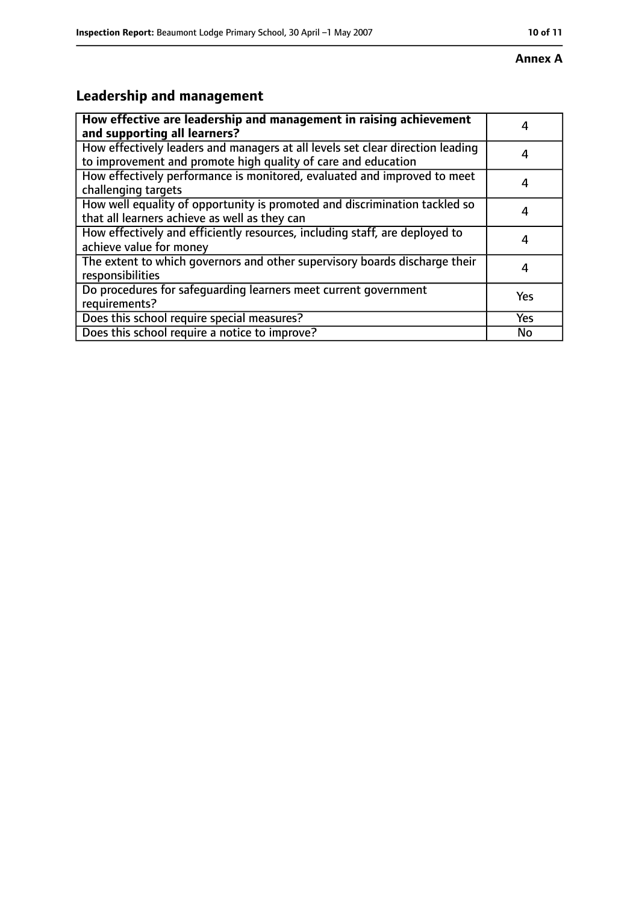#### **Annex A**

# **Leadership and management**

| How effective are leadership and management in raising achievement<br>and supporting all learners?                                              |            |
|-------------------------------------------------------------------------------------------------------------------------------------------------|------------|
| How effectively leaders and managers at all levels set clear direction leading<br>to improvement and promote high quality of care and education |            |
| How effectively performance is monitored, evaluated and improved to meet<br>challenging targets                                                 |            |
| How well equality of opportunity is promoted and discrimination tackled so<br>that all learners achieve as well as they can                     |            |
| How effectively and efficiently resources, including staff, are deployed to<br>achieve value for money                                          | 4          |
| The extent to which governors and other supervisory boards discharge their<br>responsibilities                                                  |            |
| Do procedures for safequarding learners meet current government<br>requirements?                                                                | Yes        |
| Does this school require special measures?                                                                                                      | <b>Yes</b> |
| Does this school require a notice to improve?                                                                                                   | No         |